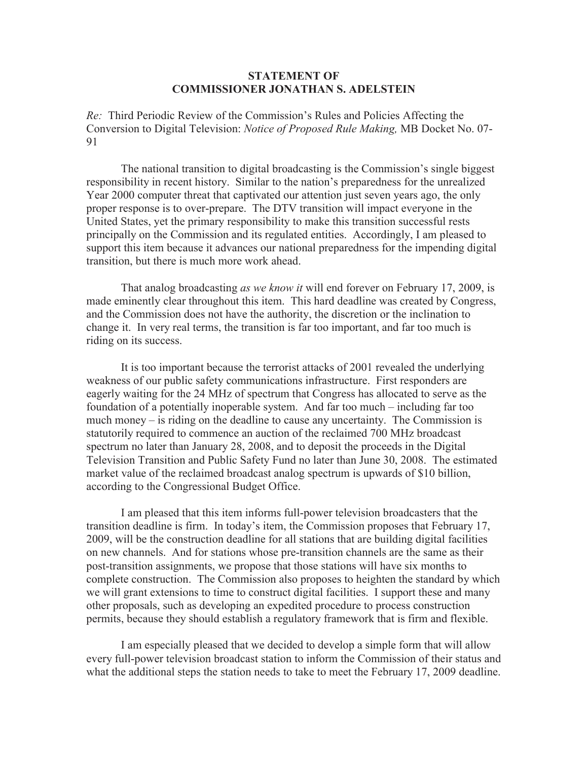## **STATEMENT OF COMMISSIONER JONATHAN S. ADELSTEIN**

*Re:* Third Periodic Review of the Commission's Rules and Policies Affecting the Conversion to Digital Television: *Notice of Proposed Rule Making,* MB Docket No. 07- 91

The national transition to digital broadcasting is the Commission's single biggest responsibility in recent history. Similar to the nation's preparedness for the unrealized Year 2000 computer threat that captivated our attention just seven years ago, the only proper response is to over-prepare. The DTV transition will impact everyone in the United States, yet the primary responsibility to make this transition successful rests principally on the Commission and its regulated entities. Accordingly, I am pleased to support this item because it advances our national preparedness for the impending digital transition, but there is much more work ahead.

That analog broadcasting *as we know it* will end forever on February 17, 2009, is made eminently clear throughout this item. This hard deadline was created by Congress, and the Commission does not have the authority, the discretion or the inclination to change it. In very real terms, the transition is far too important, and far too much is riding on its success.

It is too important because the terrorist attacks of 2001 revealed the underlying weakness of our public safety communications infrastructure. First responders are eagerly waiting for the 24 MHz of spectrum that Congress has allocated to serve as the foundation of a potentially inoperable system. And far too much – including far too much money – is riding on the deadline to cause any uncertainty. The Commission is statutorily required to commence an auction of the reclaimed 700 MHz broadcast spectrum no later than January 28, 2008, and to deposit the proceeds in the Digital Television Transition and Public Safety Fund no later than June 30, 2008. The estimated market value of the reclaimed broadcast analog spectrum is upwards of \$10 billion, according to the Congressional Budget Office.

I am pleased that this item informs full-power television broadcasters that the transition deadline is firm. In today's item, the Commission proposes that February 17, 2009, will be the construction deadline for all stations that are building digital facilities on new channels. And for stations whose pre-transition channels are the same as their post-transition assignments, we propose that those stations will have six months to complete construction. The Commission also proposes to heighten the standard by which we will grant extensions to time to construct digital facilities. I support these and many other proposals, such as developing an expedited procedure to process construction permits, because they should establish a regulatory framework that is firm and flexible.

I am especially pleased that we decided to develop a simple form that will allow every full-power television broadcast station to inform the Commission of their status and what the additional steps the station needs to take to meet the February 17, 2009 deadline.